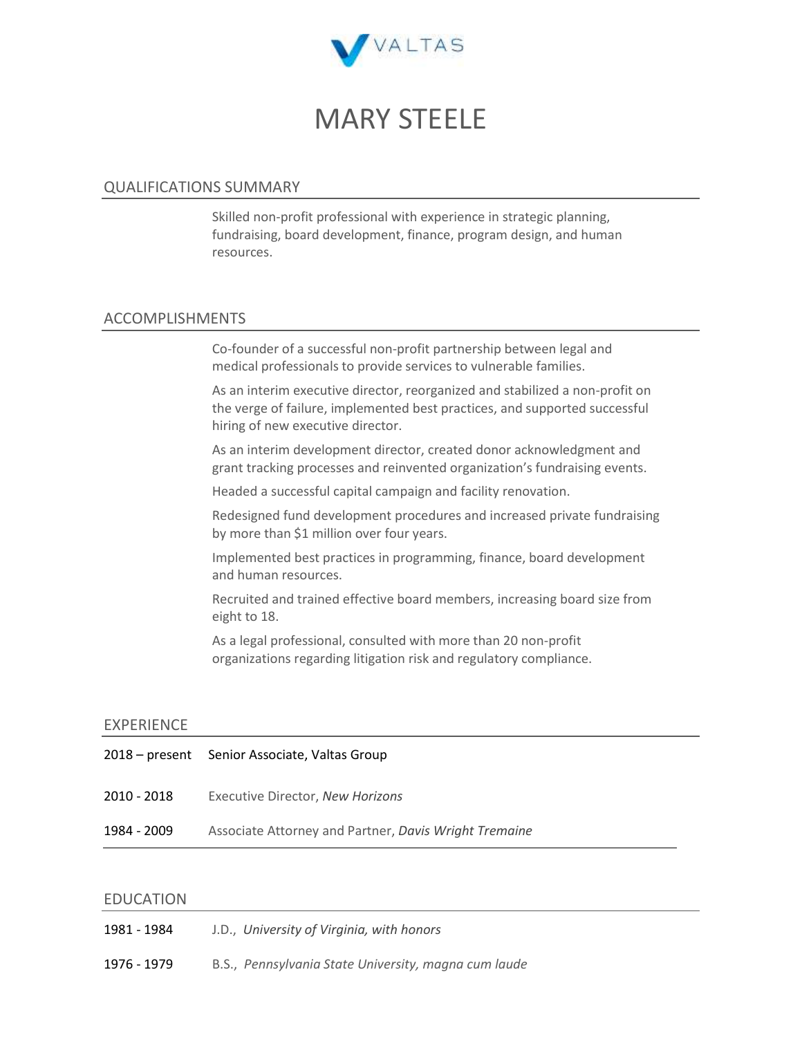

# MARY STEELE

## QUALIFICATIONS SUMMARY

Skilled non-profit professional with experience in strategic planning, fundraising, board development, finance, program design, and human resources.

## ACCOMPLISHMENTS

Co-founder of a successful non-profit partnership between legal and medical professionals to provide services to vulnerable families.

As an interim executive director, reorganized and stabilized a non-profit on the verge of failure, implemented best practices, and supported successful hiring of new executive director.

As an interim development director, created donor acknowledgment and grant tracking processes and reinvented organization's fundraising events.

Headed a successful capital campaign and facility renovation.

Redesigned fund development procedures and increased private fundraising by more than \$1 million over four years.

Implemented best practices in programming, finance, board development and human resources.

Recruited and trained effective board members, increasing board size from eight to 18.

As a legal professional, consulted with more than 20 non-profit organizations regarding litigation risk and regulatory compliance.

## EXPERIENCE

|             | 2018 – present Senior Associate, Valtas Group         |
|-------------|-------------------------------------------------------|
| 2010 - 2018 | Executive Director, New Horizons                      |
| 1984 - 2009 | Associate Attorney and Partner, Davis Wright Tremaine |
|             |                                                       |

### EDUCATION

| 1981 - 1984 | J.D., University of Virginia, with honors            |
|-------------|------------------------------------------------------|
| 1976 - 1979 | B.S., Pennsylvania State University, magna cum laude |